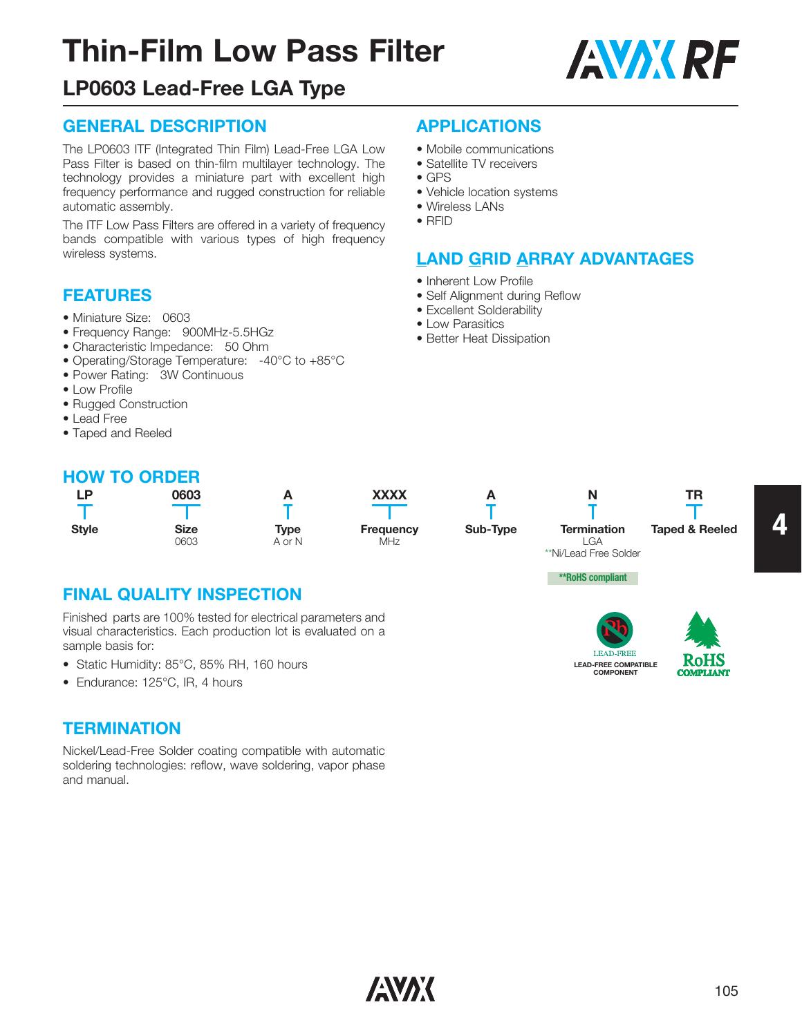

# **LP0603 Lead-Free LGA Type**

## **GENERAL DESCRIPTION**

The LP0603 ITF (Integrated Thin Film) Lead-Free LGA Low Pass Filter is based on thin-film multilayer technology. The technology provides a miniature part with excellent high frequency performance and rugged construction for reliable automatic assembly.

The ITF Low Pass Filters are offered in a variety of frequency bands compatible with various types of high frequency wireless systems.

## **FEATURES**

- Miniature Size: 0603
- Frequency Range: 900MHz-5.5HGz
- Characteristic Impedance: 50 Ohm
- Operating/Storage Temperature: -40°C to +85°C
- Power Rating: 3W Continuous
- Low Profile
- Rugged Construction
- Lead Free
- Taped and Reeled

#### **HOW TO ORDER**

| ∟P           | 0603        | A      | <b>XXXX</b>      | A        |      |
|--------------|-------------|--------|------------------|----------|------|
|              |             |        |                  |          |      |
| <b>Style</b> | <b>Size</b> | Type   | <b>Frequency</b> | Sub-Type | Terr |
|              | 0603        | A or N | MHz              |          |      |

#### **APPLICATIONS**

- Mobile communications
- Satellite TV receivers
- GPS
- Vehicle location systems
- Wireless LANs
- RFID

## **LAND GRID ARRAY ADVANTAGES**

- Inherent Low Profile
- Self Alignment during Reflow
- Excellent Solderability
- Low Parasitics
- Better Heat Dissipation

| <b>HOW TO ORDER</b> |              |                |                         |          |                           |                           |
|---------------------|--------------|----------------|-------------------------|----------|---------------------------|---------------------------|
| ∟P                  | 0603         |                | <b>XXXX</b>             |          |                           | TR                        |
|                     |              |                |                         |          |                           |                           |
| <b>Style</b>        | Size<br>0603 | Type<br>A or N | <b>Frequency</b><br>MHz | Sub-Type | <b>Termination</b><br>∟GA | <b>Taped &amp; Reeled</b> |

## **FINAL QUALITY INSPECTION**

Finished parts are 100% tested for electrical parameters and visual characteristics. Each production lot is evaluated on a sample basis for:

- Static Humidity: 85°C, 85% RH, 160 hours
- Endurance: 125°C, IR, 4 hours

## **TERMINATION**

Nickel/Lead-Free Solder coating compatible with automatic soldering technologies: reflow, wave soldering, vapor phase and manual.



**LEAD-FREE COMPATIBLE COMPONENT**

\*\*Ni/Lead Free Solder

**\*\*RoHS compliant**

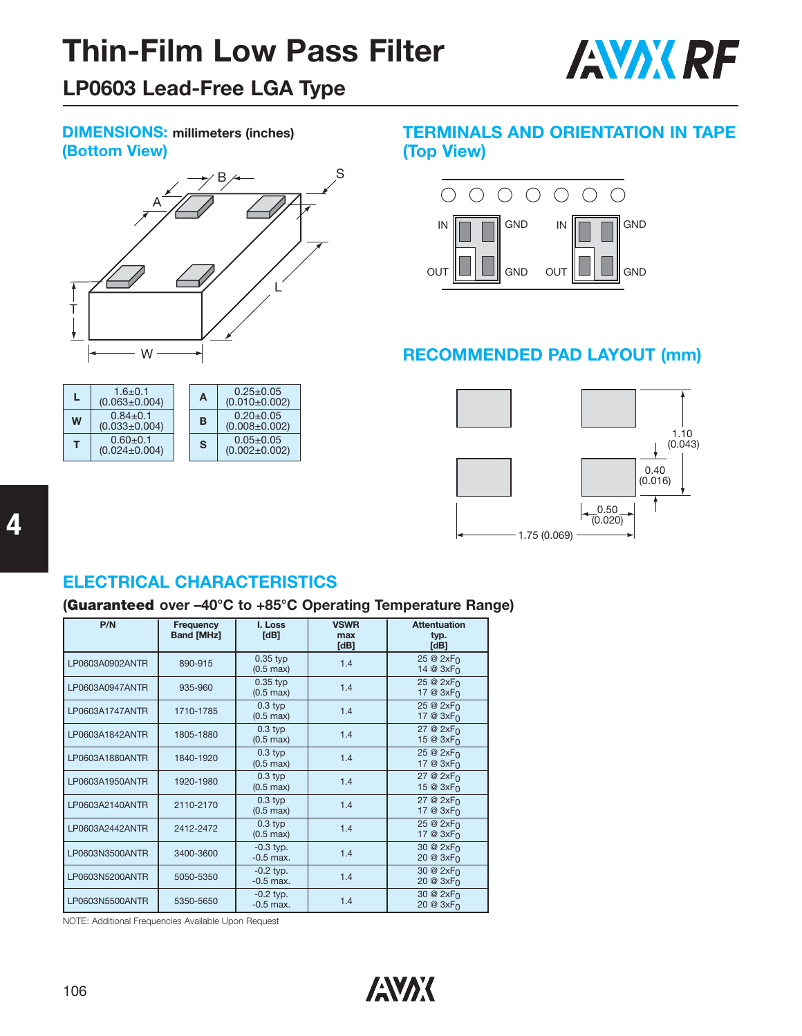

# **LP0603 Lead-Free LGA Type**

### **DIMENSIONS: millimeters (inches) (Bottom View)**



|   | $1.6 + 0.1$<br>$(0.063 \pm 0.004)$    | A | $0.25 \pm 0.05$<br>$(0.010 \pm 0.002)$ |
|---|---------------------------------------|---|----------------------------------------|
| W | $0.84 \pm 0.1$<br>$(0.033 \pm 0.004)$ | B | $0.20 \pm 0.05$<br>$(0.008 \pm 0.002)$ |
| т | $0.60 + 0.1$<br>$(0.024 \pm 0.004)$   | S | $0.05 \pm 0.05$<br>$(0.002 \pm 0.002)$ |

### **TERMINALS AND ORIENTATION IN TAPE (Top View)**



# **RECOMMENDED PAD LAYOUT (mm)**



# **ELECTRICAL CHARACTERISTICS**

#### **(Guaranteed over –40°C to +85°C Operating Temperature Range)**

| P/N             | Frequency<br><b>Band [MHz]</b> | I. Loss<br>[dB]                   | <b>VSWR</b><br>max<br>[dB] | <b>Attentuation</b><br>typ.<br>[dB] |
|-----------------|--------------------------------|-----------------------------------|----------------------------|-------------------------------------|
| LP0603A0902ANTR | 890-915                        | $0.35$ typ<br>$(0.5 \text{ max})$ | 1.4                        | 25 @ 2xFn<br>14 @ 3xF <sub>0</sub>  |
| LP0603A0947ANTR | 935-960                        | $0.35$ typ<br>$(0.5 \text{ max})$ | 1.4                        | 25 @ 2xFn<br>17 @ 3xFn              |
| LP0603A1747ANTR | 1710-1785                      | $0.3$ typ<br>$(0.5 \text{ max})$  | 1.4                        | 25 @ 2xFn<br>17 @ 3xF <sub>0</sub>  |
| LP0603A1842ANTR | 1805-1880                      | $0.3$ typ<br>$(0.5 \text{ max})$  | 1.4                        | 27 @ 2xFn<br>15 @ 3xF <sub>0</sub>  |
| LP0603A1880ANTR | 1840-1920                      | $0.3$ typ<br>$(0.5 \text{ max})$  | 1.4                        | 25 @ 2xFn<br>17 @ 3xF <sub>0</sub>  |
| LP0603A1950ANTR | 1920-1980                      | $0.3$ typ<br>$(0.5 \text{ max})$  | 1.4                        | 27 @ 2xFn<br>15 @ 3xF <sub>0</sub>  |
| LP0603A2140ANTR | 2110-2170                      | $0.3$ typ<br>$(0.5 \text{ max})$  | 1.4                        | 27 @ 2xFn<br>17 @ 3xF <sub>0</sub>  |
| LP0603A2442ANTR | 2412-2472                      | $0.3$ typ<br>$(0.5 \text{ max})$  | 1.4                        | 25 @ 2xFn<br>17 @ 3xF <sub>0</sub>  |
| LP0603N3500ANTR | 3400-3600                      | $-0.3$ typ.<br>$-0.5$ max.        | 1.4                        | 30 @ 2xFn<br>20 @ 3xF <sub>0</sub>  |
| LP0603N5200ANTR | 5050-5350                      | $-0.2$ typ.<br>$-0.5$ max.        | 1.4                        | 30 @ 2xFn<br>20 @ 3xFn              |
| LP0603N5500ANTR | 5350-5650                      | $-0.2$ typ.<br>$-0.5$ max.        | 1.4                        | 30 @ 2xFn<br>20 @ 3xF <sub>0</sub>  |

NOTE: Additional Frequencies Available Upon Request



**4**

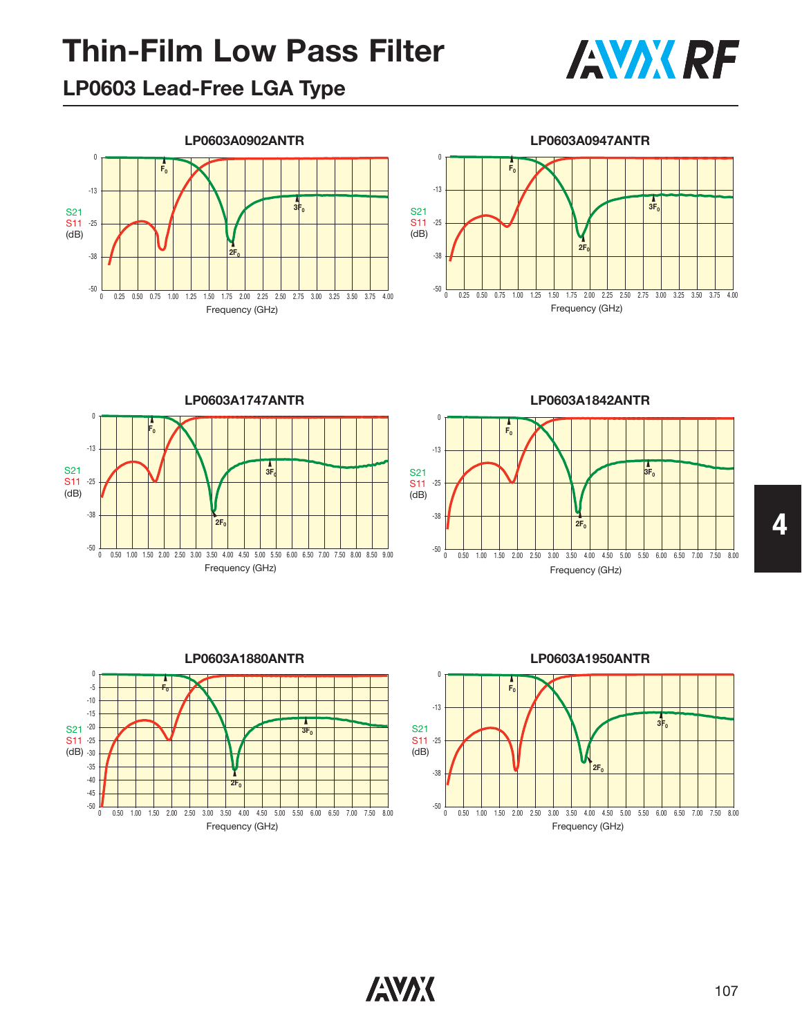









-50 -38 -25 -13 0 0 0.50 1.00 1.50 2.00 2.50 3.00 3.50 4.00 4.50 5.00 5.50 6.00 6.50 7.00 7.50 8.00 S21 S11  $(dB)$ Frequency (GHz) **2F0 F0 A**<br>3F<sub>0</sub>



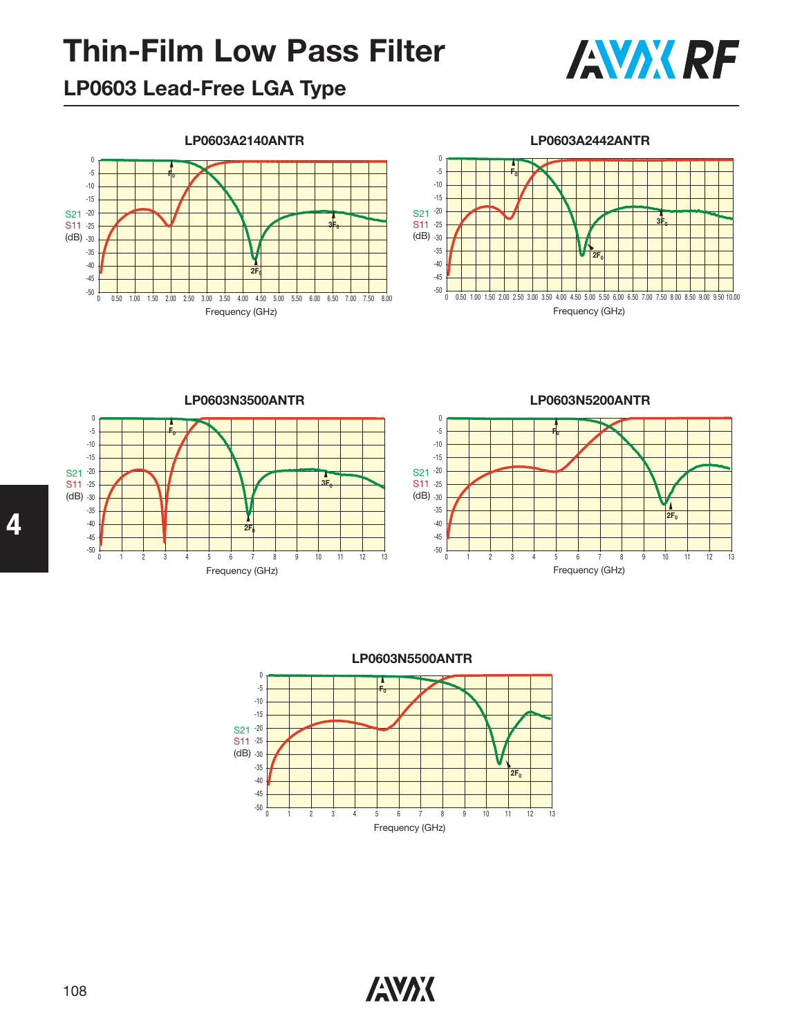# **LP0603 Lead-Free LGA Type**